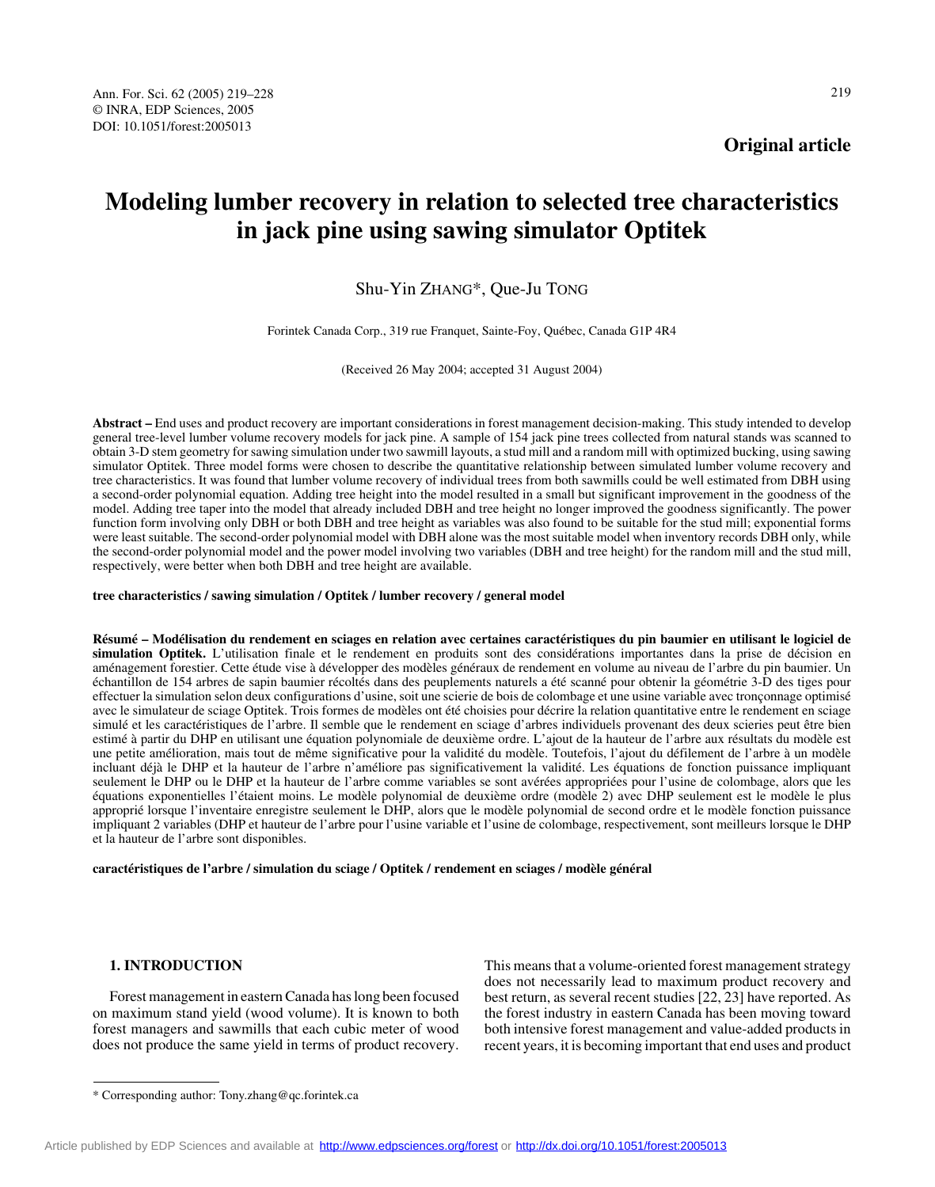**Original article**

# **Modeling lumber recovery in relation to selected tree characteristics in jack pine using sawing simulator Optitek**

Shu-Yin ZHANG\*, Que-Ju TONG

Forintek Canada Corp., 319 rue Franquet, Sainte-Foy, Québec, Canada G1P 4R4

(Received 26 May 2004; accepted 31 August 2004)

**Abstract –** End uses and product recovery are important considerations in forest management decision-making. This study intended to develop general tree-level lumber volume recovery models for jack pine. A sample of 154 jack pine trees collected from natural stands was scanned to obtain 3-D stem geometry for sawing simulation under two sawmill layouts, a stud mill and a random mill with optimized bucking, using sawing simulator Optitek. Three model forms were chosen to describe the quantitative relationship between simulated lumber volume recovery and tree characteristics. It was found that lumber volume recovery of individual trees from both sawmills could be well estimated from DBH using a second-order polynomial equation. Adding tree height into the model resulted in a small but significant improvement in the goodness of the model. Adding tree taper into the model that already included DBH and tree height no longer improved the goodness significantly. The power function form involving only DBH or both DBH and tree height as variables was also found to be suitable for the stud mill; exponential forms were least suitable. The second-order polynomial model with DBH alone was the most suitable model when inventory records DBH only, while the second-order polynomial model and the power model involving two variables (DBH and tree height) for the random mill and the stud mill, respectively, were better when both DBH and tree height are available.

#### **tree characteristics / sawing simulation / Optitek / lumber recovery / general model**

**Résumé – Modélisation du rendement en sciages en relation avec certaines caractéristiques du pin baumier en utilisant le logiciel de simulation Optitek.** L'utilisation finale et le rendement en produits sont des considérations importantes dans la prise de décision en aménagement forestier. Cette étude vise à développer des modèles généraux de rendement en volume au niveau de l'arbre du pin baumier. Un échantillon de 154 arbres de sapin baumier récoltés dans des peuplements naturels a été scanné pour obtenir la géométrie 3-D des tiges pour effectuer la simulation selon deux configurations d'usine, soit une scierie de bois de colombage et une usine variable avec tronçonnage optimisé avec le simulateur de sciage Optitek. Trois formes de modèles ont été choisies pour décrire la relation quantitative entre le rendement en sciage simulé et les caractéristiques de l'arbre. Il semble que le rendement en sciage d'arbres individuels provenant des deux scieries peut être bien estimé à partir du DHP en utilisant une équation polynomiale de deuxième ordre. L'ajout de la hauteur de l'arbre aux résultats du modèle est une petite amélioration, mais tout de même significative pour la validité du modèle. Toutefois, l'ajout du défilement de l'arbre à un modèle incluant déjà le DHP et la hauteur de l'arbre n'améliore pas significativement la validité. Les équations de fonction puissance impliquant seulement le DHP ou le DHP et la hauteur de l'arbre comme variables se sont avérées appropriées pour l'usine de colombage, alors que les équations exponentielles l'étaient moins. Le modèle polynomial de deuxième ordre (modèle 2) avec DHP seulement est le modèle le plus approprié lorsque l'inventaire enregistre seulement le DHP, alors que le modèle polynomial de second ordre et le modèle fonction puissance impliquant 2 variables (DHP et hauteur de l'arbre pour l'usine variable et l'usine de colombage, respectivement, sont meilleurs lorsque le DHP et la hauteur de l'arbre sont disponibles.

**caractéristiques de l'arbre / simulation du sciage / Optitek / rendement en sciages / modèle général**

# **1. INTRODUCTION**

Forest management in eastern Canada has long been focused on maximum stand yield (wood volume). It is known to both forest managers and sawmills that each cubic meter of wood does not produce the same yield in terms of product recovery.

This means that a volume-oriented forest management strategy does not necessarily lead to maximum product recovery and best return, as several recent studies [22, 23] have reported. As the forest industry in eastern Canada has been moving toward both intensive forest management and value-added products in recent years, it is becoming important that end uses and product

<sup>\*</sup> Corresponding author: Tony.zhang@qc.forintek.ca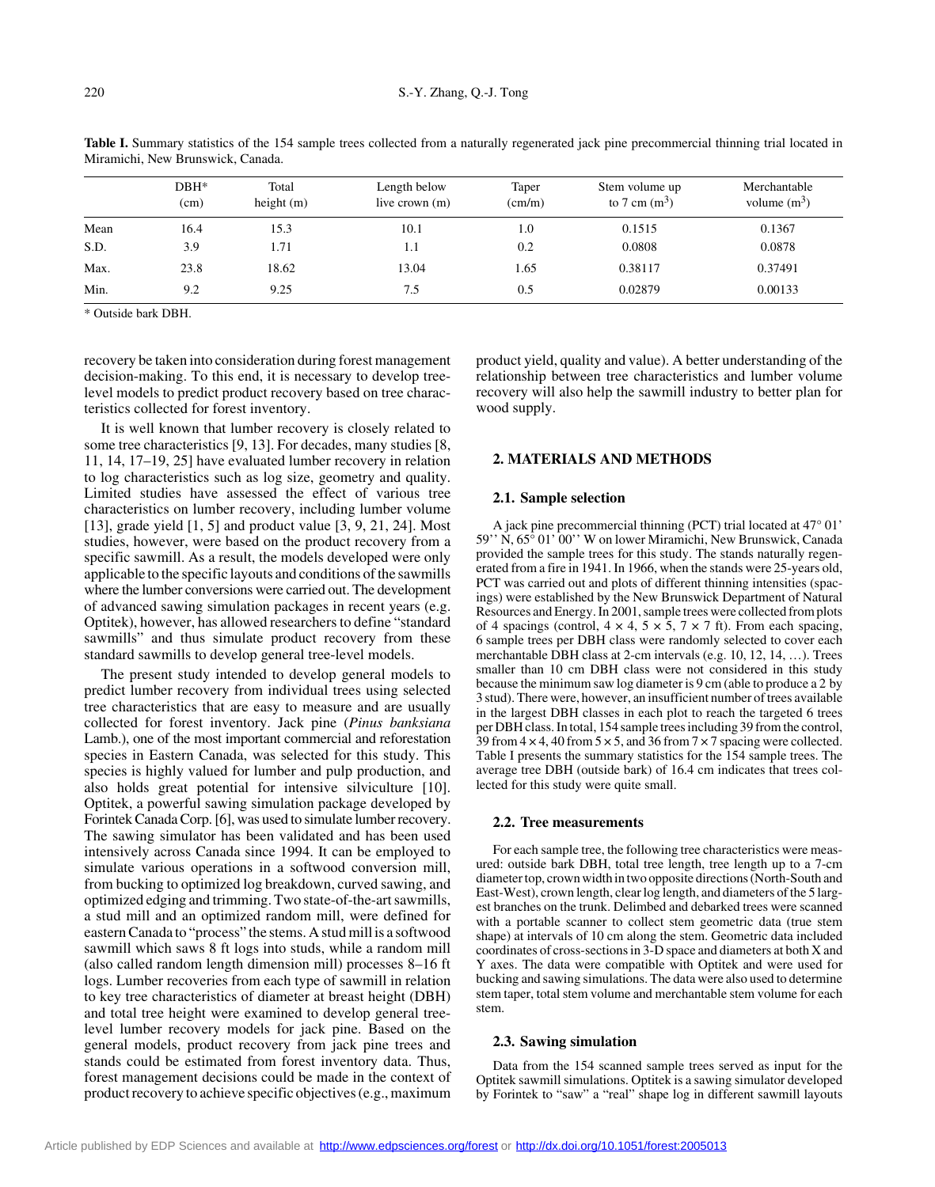|      | $DBH*$<br>(cm) | Total<br>height $(m)$ | Length below<br>live crown $(m)$ | Taper<br>$\text{(cm/m)}$ | Stem volume up<br>to 7 cm $(m^3)$ | Merchantable<br>volume $(m^3)$ |
|------|----------------|-----------------------|----------------------------------|--------------------------|-----------------------------------|--------------------------------|
| Mean | 16.4           | 15.3                  | 10.1                             | 1.0                      | 0.1515                            | 0.1367                         |
| S.D. | 3.9            | 1.71                  | $1.1\,$                          | 0.2                      | 0.0808                            | 0.0878                         |
| Max. | 23.8           | 18.62                 | 13.04                            | 1.65                     | 0.38117                           | 0.37491                        |
| Min. | 9.2            | 9.25                  | 7.5                              | 0.5                      | 0.02879                           | 0.00133                        |

Table I. Summary statistics of the 154 sample trees collected from a naturally regenerated jack pine precommercial thinning trial located in Miramichi, New Brunswick, Canada.

\* Outside bark DBH.

recovery be taken into consideration during forest management decision-making. To this end, it is necessary to develop treelevel models to predict product recovery based on tree characteristics collected for forest inventory.

It is well known that lumber recovery is closely related to some tree characteristics [9, 13]. For decades, many studies [8, 11, 14, 17–19, 25] have evaluated lumber recovery in relation to log characteristics such as log size, geometry and quality. Limited studies have assessed the effect of various tree characteristics on lumber recovery, including lumber volume [13], grade yield [1, 5] and product value [3, 9, 21, 24]. Most studies, however, were based on the product recovery from a specific sawmill. As a result, the models developed were only applicable to the specific layouts and conditions of the sawmills where the lumber conversions were carried out. The development of advanced sawing simulation packages in recent years (e.g. Optitek), however, has allowed researchers to define "standard sawmills" and thus simulate product recovery from these standard sawmills to develop general tree-level models.

The present study intended to develop general models to predict lumber recovery from individual trees using selected tree characteristics that are easy to measure and are usually collected for forest inventory. Jack pine (*Pinus banksiana* Lamb.), one of the most important commercial and reforestation species in Eastern Canada, was selected for this study. This species is highly valued for lumber and pulp production, and also holds great potential for intensive silviculture [10]. Optitek, a powerful sawing simulation package developed by Forintek Canada Corp. [6], was used to simulate lumber recovery. The sawing simulator has been validated and has been used intensively across Canada since 1994. It can be employed to simulate various operations in a softwood conversion mill, from bucking to optimized log breakdown, curved sawing, and optimized edging and trimming. Two state-of-the-art sawmills, a stud mill and an optimized random mill, were defined for eastern Canada to "process" the stems. A stud mill is a softwood sawmill which saws 8 ft logs into studs, while a random mill (also called random length dimension mill) processes 8–16 ft logs. Lumber recoveries from each type of sawmill in relation to key tree characteristics of diameter at breast height (DBH) and total tree height were examined to develop general treelevel lumber recovery models for jack pine. Based on the general models, product recovery from jack pine trees and stands could be estimated from forest inventory data. Thus, forest management decisions could be made in the context of product recovery to achieve specific objectives (e.g., maximum product yield, quality and value). A better understanding of the relationship between tree characteristics and lumber volume recovery will also help the sawmill industry to better plan for wood supply.

# **2. MATERIALS AND METHODS**

#### **2.1. Sample selection**

A jack pine precommercial thinning (PCT) trial located at 47° 01' 59'' N, 65° 01' 00'' W on lower Miramichi, New Brunswick, Canada provided the sample trees for this study. The stands naturally regenerated from a fire in 1941. In 1966, when the stands were 25-years old, PCT was carried out and plots of different thinning intensities (spacings) were established by the New Brunswick Department of Natural Resources and Energy. In 2001, sample trees were collected from plots of 4 spacings (control,  $4 \times 4$ ,  $5 \times 5$ ,  $7 \times 7$  ft). From each spacing, 6 sample trees per DBH class were randomly selected to cover each merchantable DBH class at 2-cm intervals (e.g. 10, 12, 14, …). Trees smaller than 10 cm DBH class were not considered in this study because the minimum saw log diameter is 9 cm (able to produce a 2 by 3 stud). There were, however, an insufficient number of trees available in the largest DBH classes in each plot to reach the targeted 6 trees per DBH class. In total, 154 sample trees including 39 from the control, 39 from  $4 \times 4$ , 40 from  $5 \times 5$ , and 36 from  $7 \times 7$  spacing were collected. Table I presents the summary statistics for the 154 sample trees. The average tree DBH (outside bark) of 16.4 cm indicates that trees collected for this study were quite small.

## **2.2. Tree measurements**

For each sample tree, the following tree characteristics were measured: outside bark DBH, total tree length, tree length up to a 7-cm diameter top, crown width in two opposite directions (North-South and East-West), crown length, clear log length, and diameters of the 5 largest branches on the trunk. Delimbed and debarked trees were scanned with a portable scanner to collect stem geometric data (true stem shape) at intervals of 10 cm along the stem. Geometric data included coordinates of cross-sections in 3-D space and diameters at both X and Y axes. The data were compatible with Optitek and were used for bucking and sawing simulations. The data were also used to determine stem taper, total stem volume and merchantable stem volume for each stem.

## **2.3. Sawing simulation**

Data from the 154 scanned sample trees served as input for the Optitek sawmill simulations. Optitek is a sawing simulator developed by Forintek to "saw" a "real" shape log in different sawmill layouts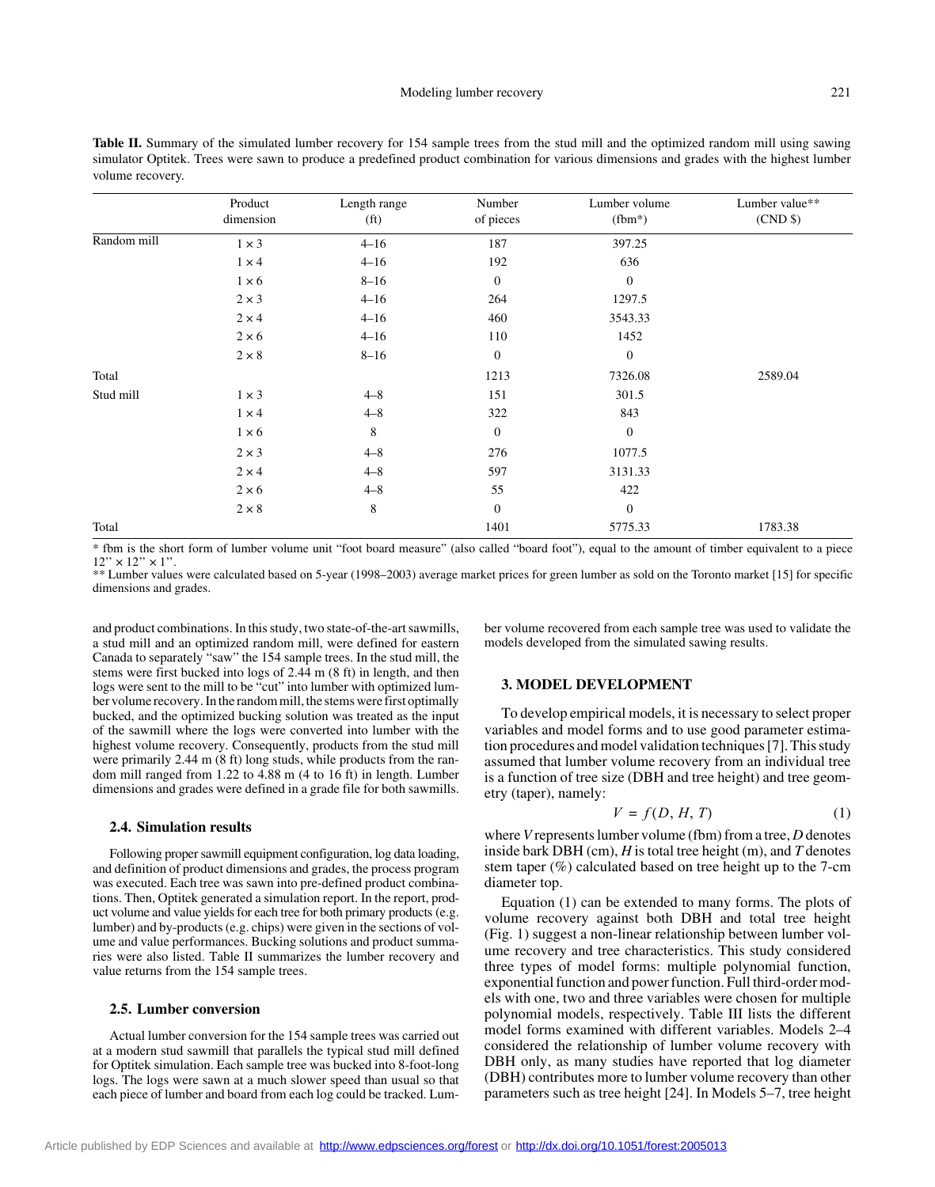| Table II. Summary of the simulated lumber recovery for 154 sample trees from the stud mill and the optimized random mill using sawing    |
|------------------------------------------------------------------------------------------------------------------------------------------|
| simulator Optitek. Trees were sawn to produce a predefined product combination for various dimensions and grades with the highest lumber |
| volume recovery.                                                                                                                         |

|             | Product<br>dimension | Length range<br>(f <sub>t</sub> ) | Number<br>of pieces | Lumber volume<br>$(fbm*)$ | Lumber value**<br>(CND \$) |
|-------------|----------------------|-----------------------------------|---------------------|---------------------------|----------------------------|
| Random mill | $1 \times 3$         | $4 - 16$                          | 187                 | 397.25                    |                            |
|             | $1 \times 4$         | $4 - 16$                          | 192                 | 636                       |                            |
|             | $1 \times 6$         | $8 - 16$                          | $\mathbf{0}$        | $\mathbf{0}$              |                            |
|             | $2 \times 3$         | $4 - 16$                          | 264                 | 1297.5                    |                            |
|             | $2 \times 4$         | $4 - 16$                          | 460                 | 3543.33                   |                            |
|             | $2 \times 6$         | $4 - 16$                          | 110                 | 1452                      |                            |
|             | $2 \times 8$         | $8 - 16$                          | $\mathbf{0}$        | $\mathbf{0}$              |                            |
| Total       |                      |                                   | 1213                | 7326.08                   | 2589.04                    |
| Stud mill   | $1 \times 3$         | $4 - 8$                           | 151                 | 301.5                     |                            |
|             | $1 \times 4$         | $4 - 8$                           | 322                 | 843                       |                            |
|             | $1 \times 6$         | 8                                 | $\mathbf{0}$        | $\mathbf{0}$              |                            |
|             | $2 \times 3$         | $4 - 8$                           | 276                 | 1077.5                    |                            |
|             | $2 \times 4$         | $4 - 8$                           | 597                 | 3131.33                   |                            |
|             | $2 \times 6$         | $4 - 8$                           | 55                  | 422                       |                            |
|             | $2 \times 8$         | 8                                 | $\mathbf{0}$        | $\mathbf{0}$              |                            |
| Total       |                      |                                   | 1401                | 5775.33                   | 1783.38                    |

\* fbm is the short form of lumber volume unit "foot board measure" (also called "board foot"), equal to the amount of timber equivalent to a piece  $12'' \times 12'' \times 1''$ .

\*\* Lumber values were calculated based on 5-year (1998–2003) average market prices for green lumber as sold on the Toronto market [15] for specific dimensions and grades.

and product combinations. In this study, two state-of-the-art sawmills, a stud mill and an optimized random mill, were defined for eastern Canada to separately "saw" the 154 sample trees. In the stud mill, the stems were first bucked into logs of 2.44 m (8 ft) in length, and then logs were sent to the mill to be "cut" into lumber with optimized lumber volume recovery. In the random mill, the stems were first optimally bucked, and the optimized bucking solution was treated as the input of the sawmill where the logs were converted into lumber with the highest volume recovery. Consequently, products from the stud mill were primarily 2.44 m (8 ft) long studs, while products from the random mill ranged from 1.22 to 4.88 m (4 to 16 ft) in length. Lumber dimensions and grades were defined in a grade file for both sawmills.

#### **2.4. Simulation results**

Following proper sawmill equipment configuration, log data loading, and definition of product dimensions and grades, the process program was executed. Each tree was sawn into pre-defined product combinations. Then, Optitek generated a simulation report. In the report, product volume and value yields for each tree for both primary products (e.g. lumber) and by-products (e.g. chips) were given in the sections of volume and value performances. Bucking solutions and product summaries were also listed. Table II summarizes the lumber recovery and value returns from the 154 sample trees.

## **2.5. Lumber conversion**

Actual lumber conversion for the 154 sample trees was carried out at a modern stud sawmill that parallels the typical stud mill defined for Optitek simulation. Each sample tree was bucked into 8-foot-long logs. The logs were sawn at a much slower speed than usual so that each piece of lumber and board from each log could be tracked. Lumber volume recovered from each sample tree was used to validate the models developed from the simulated sawing results.

## **3. MODEL DEVELOPMENT**

To develop empirical models, it is necessary to select proper variables and model forms and to use good parameter estimation procedures and model validation techniques [7]. This study assumed that lumber volume recovery from an individual tree is a function of tree size (DBH and tree height) and tree geometry (taper), namely:

$$
V = f(D, H, T) \tag{1}
$$

where *V* represents lumber volume (fbm) from a tree, *D* denotes inside bark DBH (cm), *H* is total tree height (m), and *T* denotes stem taper (%) calculated based on tree height up to the 7-cm diameter top.

Equation (1) can be extended to many forms. The plots of volume recovery against both DBH and total tree height (Fig. 1) suggest a non-linear relationship between lumber volume recovery and tree characteristics. This study considered three types of model forms: multiple polynomial function, exponential function and power function. Full third-order models with one, two and three variables were chosen for multiple polynomial models, respectively. Table III lists the different model forms examined with different variables. Models 2–4 considered the relationship of lumber volume recovery with DBH only, as many studies have reported that log diameter (DBH) contributes more to lumber volume recovery than other parameters such as tree height [24]. In Models 5–7, tree height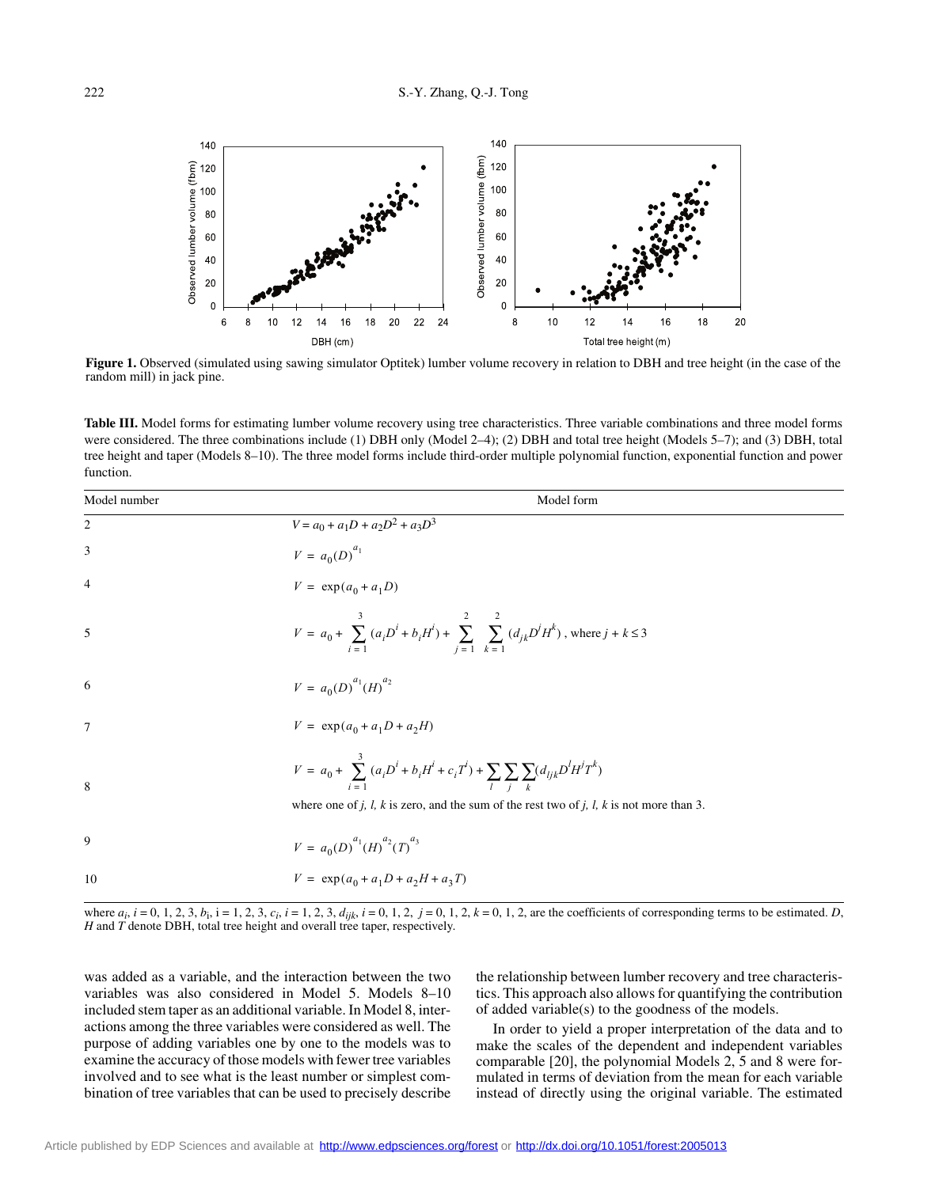

**Figure 1.** Observed (simulated using sawing simulator Optitek) lumber volume recovery in relation to DBH and tree height (in the case of the random mill) in jack pine.

Table III. Model forms for estimating lumber volume recovery using tree characteristics. Three variable combinations and three model forms were considered. The three combinations include (1) DBH only (Model 2–4); (2) DBH and total tree height (Models 5–7); and (3) DBH, total tree height and taper (Models 8–10). The three model forms include third-order multiple polynomial function, exponential function and power function.

| Model number   | Model form                                                                                                                                                                                              |
|----------------|---------------------------------------------------------------------------------------------------------------------------------------------------------------------------------------------------------|
| 2              | $V = a_0 + a_1D + a_2D^2 + a_3D^3$                                                                                                                                                                      |
| 3              | $V = a_0(D)^{a_1}$                                                                                                                                                                                      |
| $\overline{4}$ | $V = \exp(a_0 + a_1 D)$                                                                                                                                                                                 |
| 5              | $V = a_0 + \sum_{i=1}^{3} (a_i D^i + b_i H^i) + \sum_{j=1}^{2} \sum_{k=1}^{2} (d_{jk} D^j H^k)$ , where $j + k \le 3$                                                                                   |
| 6              | $V = a_0(D)^{a_1}(H)^{a_2}$                                                                                                                                                                             |
| $\overline{7}$ | $V = \exp(a_0 + a_1D + a_2H)$                                                                                                                                                                           |
| 8              | $V = a_0 + \sum_{i=1}^{3} (a_i D^i + b_i H^i + c_i T^i) + \sum_{i} \sum_{i} \sum_{k} (d_{ijk} D^l H^j T^k)$<br>where one of j, l, k is zero, and the sum of the rest two of j, l, k is not more than 3. |
| 9              | $V = a_0(D)^{a_1}(H)^{a_2}(T)^{a_3}$                                                                                                                                                                    |
| 10             | $V = \exp(a_0 + a_1D + a_2H + a_3T)$                                                                                                                                                                    |

where  $a_i$ ,  $i = 0, 1, 2, 3, b_i$ ,  $i = 1, 2, 3, c_i$ ,  $i = 1, 2, 3, d_{ijk}$ ,  $i = 0, 1, 2, j = 0, 1, 2, k = 0, 1, 2$ , are the coefficients of corresponding terms to be estimated. D, *H* and *T* denote DBH, total tree height and overall tree taper, respectively.

was added as a variable, and the interaction between the two variables was also considered in Model 5. Models 8–10 included stem taper as an additional variable. In Model 8, interactions among the three variables were considered as well. The purpose of adding variables one by one to the models was to examine the accuracy of those models with fewer tree variables involved and to see what is the least number or simplest combination of tree variables that can be used to precisely describe the relationship between lumber recovery and tree characteristics. This approach also allows for quantifying the contribution of added variable(s) to the goodness of the models.

In order to yield a proper interpretation of the data and to make the scales of the dependent and independent variables comparable [20], the polynomial Models 2, 5 and 8 were formulated in terms of deviation from the mean for each variable instead of directly using the original variable. The estimated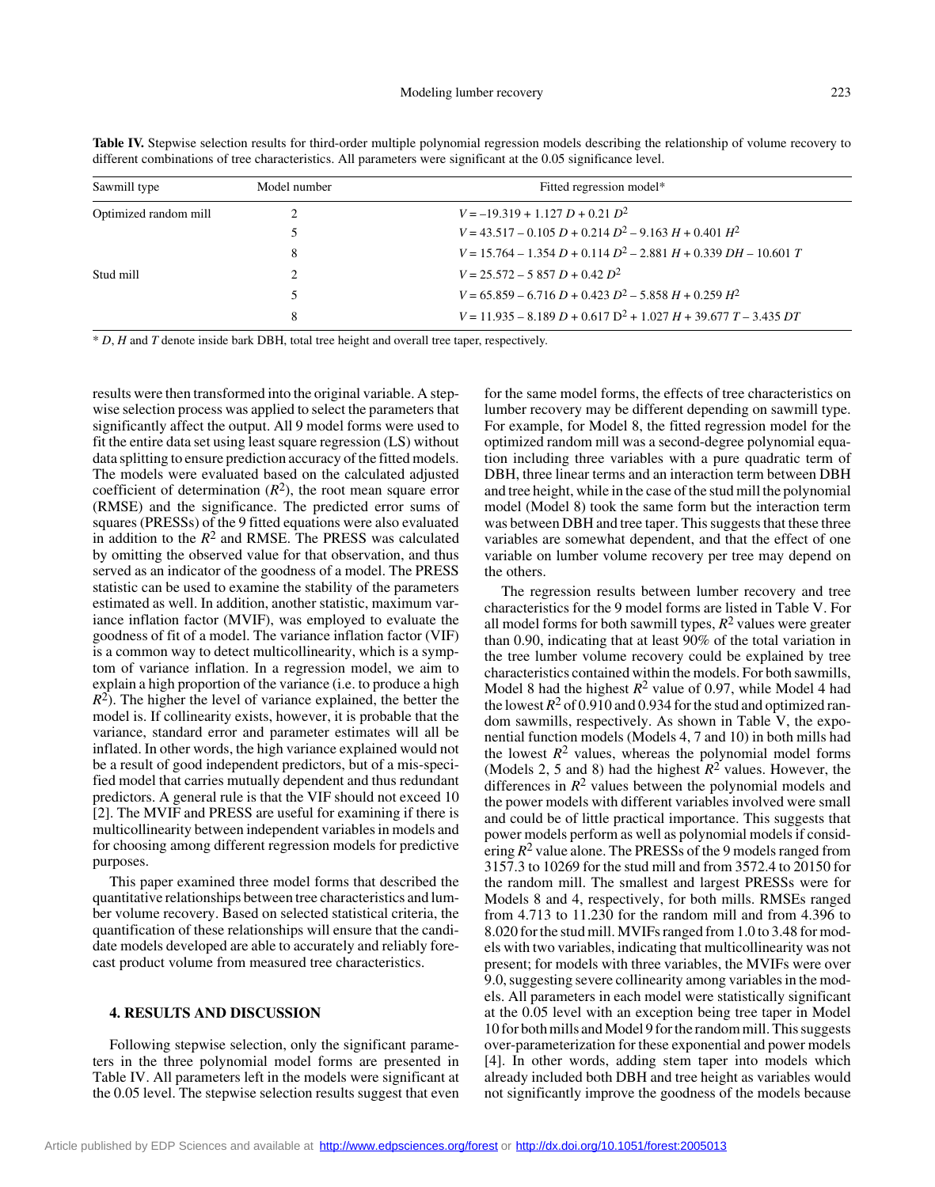| Sawmill type          | Model number | Fitted regression model*                                           |  |  |  |
|-----------------------|--------------|--------------------------------------------------------------------|--|--|--|
| Optimized random mill |              | $V = -19.319 + 1.127 D + 0.21 D^2$                                 |  |  |  |
|                       |              | $V = 43.517 - 0.105 D + 0.214 D^2 - 9.163 H + 0.401 H^2$           |  |  |  |
|                       | 8            | $V = 15.764 - 1.354 D + 0.114 D^2 - 2.881 H + 0.339 DH - 10.601 T$ |  |  |  |
| Stud mill             |              | $V = 25.572 - 5.857 D + 0.42 D^2$                                  |  |  |  |
|                       |              | $V = 65.859 - 6.716 D + 0.423 D^2 - 5.858 H + 0.259 H^2$           |  |  |  |
|                       | 8            | $V = 11.935 - 8.189 D + 0.617 D^2 + 1.027 H + 39.677 T - 3.435 DT$ |  |  |  |
|                       |              |                                                                    |  |  |  |

Table IV. Stepwise selection results for third-order multiple polynomial regression models describing the relationship of volume recovery to different combinations of tree characteristics. All parameters were significant at the 0.05 significance level.

\* *D*, *H* and *T* denote inside bark DBH, total tree height and overall tree taper, respectively.

results were then transformed into the original variable. A stepwise selection process was applied to select the parameters that significantly affect the output. All 9 model forms were used to fit the entire data set using least square regression (LS) without data splitting to ensure prediction accuracy of the fitted models. The models were evaluated based on the calculated adjusted coefficient of determination  $(R^2)$ , the root mean square error (RMSE) and the significance. The predicted error sums of squares (PRESSs) of the 9 fitted equations were also evaluated in addition to the  $R^2$  and RMSE. The PRESS was calculated by omitting the observed value for that observation, and thus served as an indicator of the goodness of a model. The PRESS statistic can be used to examine the stability of the parameters estimated as well. In addition, another statistic, maximum variance inflation factor (MVIF), was employed to evaluate the goodness of fit of a model. The variance inflation factor (VIF) is a common way to detect multicollinearity, which is a symptom of variance inflation. In a regression model, we aim to explain a high proportion of the variance (i.e. to produce a high  $R<sup>2</sup>$ ). The higher the level of variance explained, the better the model is. If collinearity exists, however, it is probable that the variance, standard error and parameter estimates will all be inflated. In other words, the high variance explained would not be a result of good independent predictors, but of a mis-specified model that carries mutually dependent and thus redundant predictors. A general rule is that the VIF should not exceed 10 [2]. The MVIF and PRESS are useful for examining if there is multicollinearity between independent variables in models and for choosing among different regression models for predictive purposes.

This paper examined three model forms that described the quantitative relationships between tree characteristics and lumber volume recovery. Based on selected statistical criteria, the quantification of these relationships will ensure that the candidate models developed are able to accurately and reliably forecast product volume from measured tree characteristics.

# **4. RESULTS AND DISCUSSION**

Following stepwise selection, only the significant parameters in the three polynomial model forms are presented in Table IV. All parameters left in the models were significant at the 0.05 level. The stepwise selection results suggest that even

for the same model forms, the effects of tree characteristics on lumber recovery may be different depending on sawmill type. For example, for Model 8, the fitted regression model for the optimized random mill was a second-degree polynomial equation including three variables with a pure quadratic term of DBH, three linear terms and an interaction term between DBH and tree height, while in the case of the stud mill the polynomial model (Model 8) took the same form but the interaction term was between DBH and tree taper. This suggests that these three variables are somewhat dependent, and that the effect of one variable on lumber volume recovery per tree may depend on the others.

The regression results between lumber recovery and tree characteristics for the 9 model forms are listed in Table V. For all model forms for both sawmill types,  $R^2$  values were greater than 0.90, indicating that at least 90% of the total variation in the tree lumber volume recovery could be explained by tree characteristics contained within the models. For both sawmills, Model 8 had the highest  $R^2$  value of 0.97, while Model 4 had the lowest  $R^2$  of 0.910 and 0.934 for the stud and optimized random sawmills, respectively. As shown in Table V, the exponential function models (Models 4, 7 and 10) in both mills had the lowest  $R^2$  values, whereas the polynomial model forms (Models 2, 5 and 8) had the highest  $R^2$  values. However, the differences in  $R^2$  values between the polynomial models and the power models with different variables involved were small and could be of little practical importance. This suggests that power models perform as well as polynomial models if considering  $R^2$  value alone. The PRESSs of the 9 models ranged from 3157.3 to 10269 for the stud mill and from 3572.4 to 20150 for the random mill. The smallest and largest PRESSs were for Models 8 and 4, respectively, for both mills. RMSEs ranged from 4.713 to 11.230 for the random mill and from 4.396 to 8.020 for the stud mill. MVIFs ranged from 1.0 to 3.48 for models with two variables, indicating that multicollinearity was not present; for models with three variables, the MVIFs were over 9.0, suggesting severe collinearity among variables in the models. All parameters in each model were statistically significant at the 0.05 level with an exception being tree taper in Model 10 for both mills and Model 9 for the random mill. This suggests over-parameterization for these exponential and power models [4]. In other words, adding stem taper into models which already included both DBH and tree height as variables would not significantly improve the goodness of the models because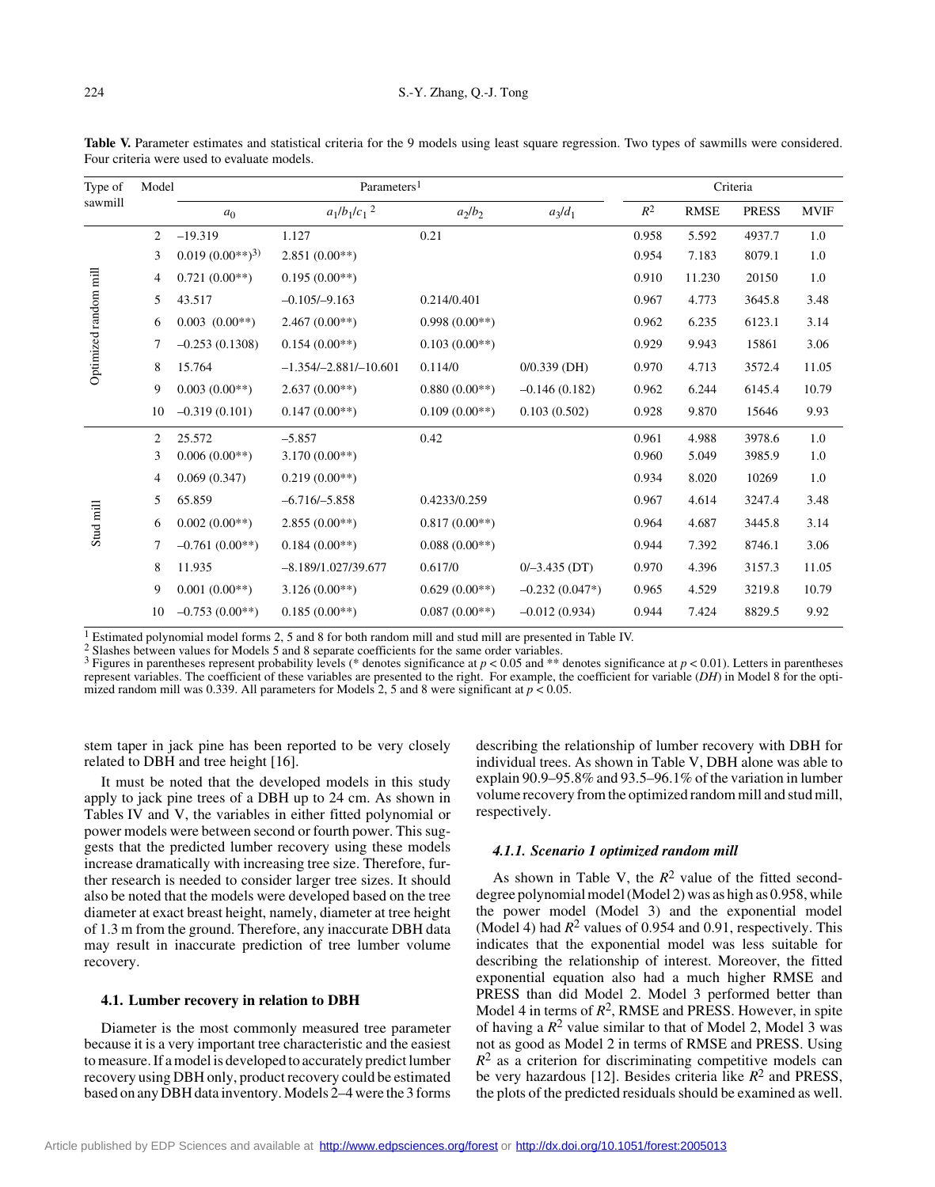| Type of                                       | Model          | Parameters <sup>1</sup> |                            |                 |                  | Criteria |             |              |                                                                                                       |
|-----------------------------------------------|----------------|-------------------------|----------------------------|-----------------|------------------|----------|-------------|--------------|-------------------------------------------------------------------------------------------------------|
|                                               |                | a <sub>0</sub>          | $a_1/b_1/c_1$ <sup>2</sup> | $a_2/b_2$       | $a_3/d_1$        | $R^2$    | <b>RMSE</b> | <b>PRESS</b> | <b>MVIF</b>                                                                                           |
|                                               | $\overline{2}$ | $-19.319$               | 1.127                      | 0.21            |                  | 0.958    | 5.592       | 4937.7       | 1.0                                                                                                   |
|                                               | 3              | $0.019(0.00**)^3$       | $2.851(0.00**)$            |                 |                  | 0.954    | 7.183       | 8079.1       | 1.0                                                                                                   |
|                                               | 4              | $0.721(0.00**)$         | $0.195(0.00**)$            |                 |                  | 0.910    | 11.230      | 20150        | 1.0                                                                                                   |
|                                               | 5.             | 43.517                  | $-0.105/-9.163$            | 0.214/0.401     |                  | 0.967    | 4.773       | 3645.8       | 3.48                                                                                                  |
| sawmill<br>Optimized random mill<br>Stud mill | 6              | $0.003$ $(0.00**)$      | $2.467(0.00**)$            | $0.998(0.00**)$ |                  | 0.962    | 6.235       | 6123.1       | 3.14                                                                                                  |
|                                               | 7              | $-0.253(0.1308)$        | $0.154(0.00**)$            | $0.103(0.00**)$ |                  | 0.929    | 9.943       | 15861        | 3.06<br>11.05<br>10.79<br>9.93<br>1.0<br>1.0<br>1.0<br>3.48<br>3.14<br>3.06<br>11.05<br>10.79<br>9.92 |
|                                               | 8              | 15.764                  | $-1.354/-2.881/-10.601$    | 0.114/0         | $0/0.339$ (DH)   | 0.970    | 4.713       | 3572.4       |                                                                                                       |
|                                               | 9              | $0.003(0.00**)$         | $2.637(0.00**)$            | $0.880(0.00**)$ | $-0.146(0.182)$  | 0.962    | 6.244       | 6145.4       |                                                                                                       |
|                                               | 10             | $-0.319(0.101)$         | $0.147(0.00**)$            | $0.109(0.00**)$ | 0.103(0.502)     | 0.928    | 9.870       | 15646        |                                                                                                       |
|                                               | 2              | 25.572                  | $-5.857$                   | 0.42            |                  | 0.961    | 4.988       | 3978.6       |                                                                                                       |
|                                               | 3              | $0.006(0.00**)$         | $3.170(0.00**)$            |                 |                  | 0.960    | 5.049       | 3985.9       |                                                                                                       |
|                                               | 4              | 0.069(0.347)            | $0.219(0.00**)$            |                 |                  | 0.934    | 8.020       | 10269        |                                                                                                       |
|                                               | 5.             | 65.859                  | $-6.716/-5.858$            | 0.4233/0.259    |                  | 0.967    | 4.614       | 3247.4       |                                                                                                       |
|                                               | 6              | $0.002(0.00**)$         | $2.855(0.00**)$            | $0.817(0.00**)$ |                  | 0.964    | 4.687       | 3445.8       |                                                                                                       |
|                                               | 7              | $-0.761(0.00**)$        | $0.184(0.00**)$            | $0.088(0.00**)$ |                  | 0.944    | 7.392       | 8746.1       |                                                                                                       |
|                                               | 8              | 11.935                  | $-8.189/1.027/39.677$      | 0.617/0         | $0/-3.435$ (DT)  | 0.970    | 4.396       | 3157.3       |                                                                                                       |
|                                               | 9              | $0.001(0.00**)$         | $3.126(0.00**)$            | $0.629(0.00**)$ | $-0.232(0.047*)$ | 0.965    | 4.529       | 3219.8       |                                                                                                       |
|                                               | 10             | $-0.753(0.00**)$        | $0.185(0.00**)$            | $0.087(0.00**)$ | $-0.012(0.934)$  | 0.944    | 7.424       | 8829.5       |                                                                                                       |
|                                               |                |                         |                            |                 |                  |          |             |              |                                                                                                       |

Table V. Parameter estimates and statistical criteria for the 9 models using least square regression. Two types of sawmills were considered. Four criteria were used to evaluate models.

<sup>1</sup> Estimated polynomial model forms 2, 5 and 8 for both random mill and stud mill are presented in Table IV. <sup>2</sup> Slashes between values for Models 5 and 8 separate coefficients for the same order variables.

<sup>3</sup> Figures in parentheses represent probability levels (\* denotes significance at  $p < 0.05$  and \*\* denotes significance at  $p < 0.01$ ). Letters in parentheses represent variables. The coefficient of these variables are presented to the right. For example, the coefficient for variable (*DH*) in Model 8 for the optimized random mill was 0.339. All parameters for Models 2, 5 and 8 were significant at  $p < 0.05$ .

stem taper in jack pine has been reported to be very closely related to DBH and tree height [16].

It must be noted that the developed models in this study apply to jack pine trees of a DBH up to 24 cm. As shown in Tables IV and V, the variables in either fitted polynomial or power models were between second or fourth power. This suggests that the predicted lumber recovery using these models increase dramatically with increasing tree size. Therefore, further research is needed to consider larger tree sizes. It should also be noted that the models were developed based on the tree diameter at exact breast height, namely, diameter at tree height of 1.3 m from the ground. Therefore, any inaccurate DBH data may result in inaccurate prediction of tree lumber volume recovery.

# **4.1. Lumber recovery in relation to DBH**

Diameter is the most commonly measured tree parameter because it is a very important tree characteristic and the easiest to measure. If a model is developed to accurately predict lumber recovery using DBH only, product recovery could be estimated based on any DBH data inventory. Models 2–4 were the 3 forms describing the relationship of lumber recovery with DBH for individual trees. As shown in Table V, DBH alone was able to explain 90.9–95.8% and 93.5–96.1% of the variation in lumber volume recovery from the optimized random mill and stud mill, respectively.

## *4.1.1. Scenario 1 optimized random mill*

As shown in Table V, the  $R^2$  value of the fitted seconddegree polynomial model (Model 2) was as high as 0.958, while the power model (Model 3) and the exponential model (Model 4) had  $R^2$  values of 0.954 and 0.91, respectively. This indicates that the exponential model was less suitable for describing the relationship of interest. Moreover, the fitted exponential equation also had a much higher RMSE and PRESS than did Model 2. Model 3 performed better than Model 4 in terms of  $R^2$ , RMSE and PRESS. However, in spite of having a  $R^2$  value similar to that of Model 2, Model 3 was not as good as Model 2 in terms of RMSE and PRESS. Using  $R<sup>2</sup>$  as a criterion for discriminating competitive models can be very hazardous [12]. Besides criteria like *R*2 and PRESS, the plots of the predicted residuals should be examined as well.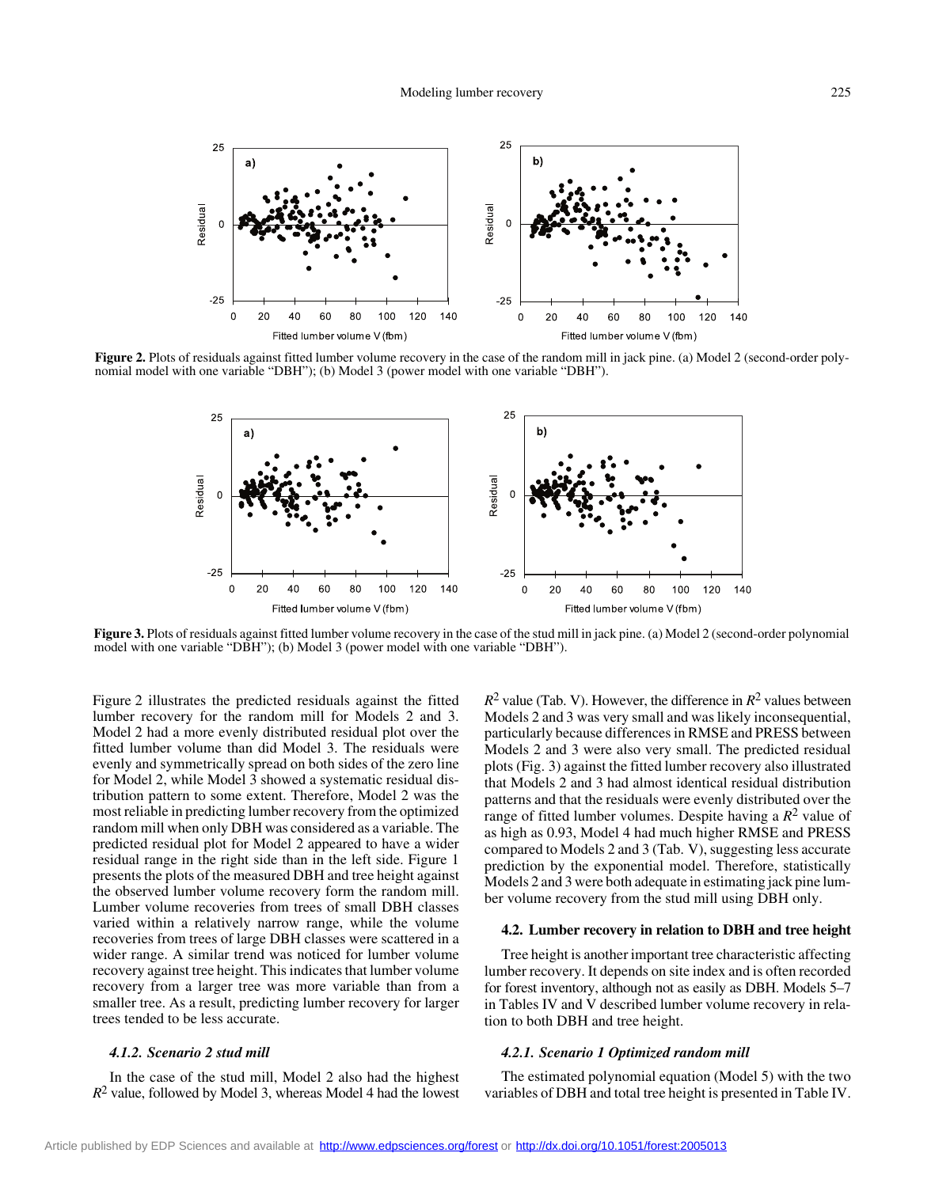

**Figure 2.** Plots of residuals against fitted lumber volume recovery in the case of the random mill in jack pine. (a) Model 2 (second-order polynomial model with one variable "DBH"); (b) Model 3 (power model with one variable "DBH").



**Figure 3.** Plots of residuals against fitted lumber volume recovery in the case of the stud mill in jack pine. (a) Model 2 (second-order polynomial model with one variable "DBH"); (b) Model 3 (power model with one variable "DBH").

Figure 2 illustrates the predicted residuals against the fitted lumber recovery for the random mill for Models 2 and 3. Model 2 had a more evenly distributed residual plot over the fitted lumber volume than did Model 3. The residuals were evenly and symmetrically spread on both sides of the zero line for Model 2, while Model 3 showed a systematic residual distribution pattern to some extent. Therefore, Model 2 was the most reliable in predicting lumber recovery from the optimized random mill when only DBH was considered as a variable. The predicted residual plot for Model 2 appeared to have a wider residual range in the right side than in the left side. Figure 1 presents the plots of the measured DBH and tree height against the observed lumber volume recovery form the random mill. Lumber volume recoveries from trees of small DBH classes varied within a relatively narrow range, while the volume recoveries from trees of large DBH classes were scattered in a wider range. A similar trend was noticed for lumber volume recovery against tree height. This indicates that lumber volume recovery from a larger tree was more variable than from a smaller tree. As a result, predicting lumber recovery for larger trees tended to be less accurate.

# *4.1.2. Scenario 2 stud mill*

In the case of the stud mill, Model 2 also had the highest  $R<sup>2</sup>$  value, followed by Model 3, whereas Model 4 had the lowest

 $R^2$  value (Tab. V). However, the difference in  $R^2$  values between Models 2 and 3 was very small and was likely inconsequential, particularly because differences in RMSE and PRESS between Models 2 and 3 were also very small. The predicted residual plots (Fig. 3) against the fitted lumber recovery also illustrated that Models 2 and 3 had almost identical residual distribution patterns and that the residuals were evenly distributed over the range of fitted lumber volumes. Despite having a  $R^2$  value of as high as 0.93, Model 4 had much higher RMSE and PRESS compared to Models 2 and 3 (Tab. V), suggesting less accurate prediction by the exponential model. Therefore, statistically Models 2 and 3 were both adequate in estimating jack pine lumber volume recovery from the stud mill using DBH only.

## **4.2. Lumber recovery in relation to DBH and tree height**

Tree height is another important tree characteristic affecting lumber recovery. It depends on site index and is often recorded for forest inventory, although not as easily as DBH. Models 5–7 in Tables IV and V described lumber volume recovery in relation to both DBH and tree height.

#### *4.2.1. Scenario 1 Optimized random mill*

The estimated polynomial equation (Model 5) with the two variables of DBH and total tree height is presented in Table IV.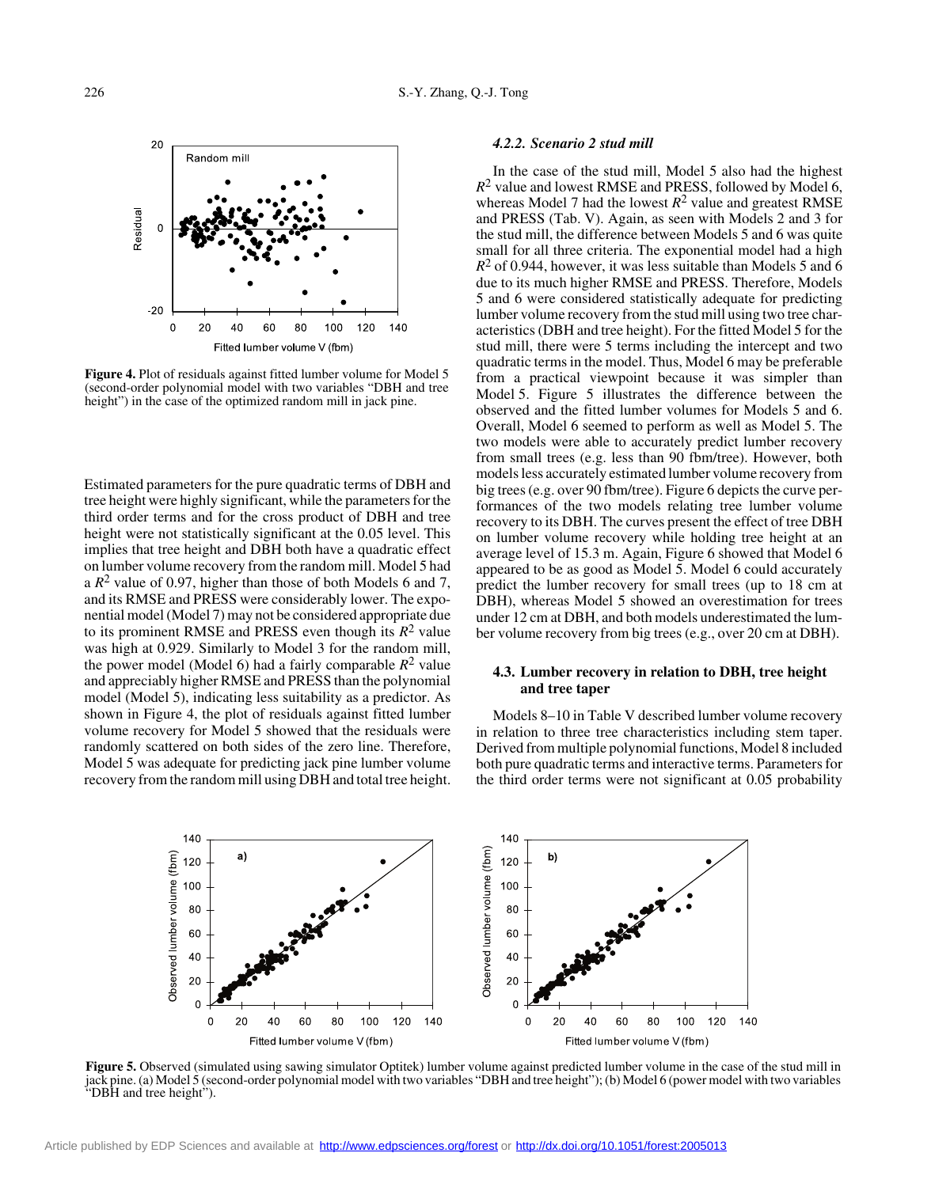

**Figure 4.** Plot of residuals against fitted lumber volume for Model 5 (second-order polynomial model with two variables "DBH and tree height") in the case of the optimized random mill in jack pine.

Estimated parameters for the pure quadratic terms of DBH and tree height were highly significant, while the parameters for the third order terms and for the cross product of DBH and tree height were not statistically significant at the 0.05 level. This implies that tree height and DBH both have a quadratic effect on lumber volume recovery from the random mill. Model 5 had a  $R^2$  value of 0.97, higher than those of both Models 6 and 7, and its RMSE and PRESS were considerably lower. The exponential model (Model 7) may not be considered appropriate due to its prominent RMSE and PRESS even though its  $R^2$  value was high at 0.929. Similarly to Model 3 for the random mill, the power model (Model 6) had a fairly comparable  $R^2$  value and appreciably higher RMSE and PRESS than the polynomial model (Model 5), indicating less suitability as a predictor. As shown in Figure 4, the plot of residuals against fitted lumber volume recovery for Model 5 showed that the residuals were randomly scattered on both sides of the zero line. Therefore, Model 5 was adequate for predicting jack pine lumber volume recovery from the random mill using DBH and total tree height.

## *4.2.2. Scenario 2 stud mill*

In the case of the stud mill, Model 5 also had the highest *R*<sup>2</sup> value and lowest RMSE and PRESS, followed by Model 6, whereas Model 7 had the lowest  $R^2$  value and greatest RMSE and PRESS (Tab. V). Again, as seen with Models 2 and 3 for the stud mill, the difference between Models 5 and 6 was quite small for all three criteria. The exponential model had a high *R*2 of 0.944, however, it was less suitable than Models 5 and 6 due to its much higher RMSE and PRESS. Therefore, Models 5 and 6 were considered statistically adequate for predicting lumber volume recovery from the stud mill using two tree characteristics (DBH and tree height). For the fitted Model 5 for the stud mill, there were 5 terms including the intercept and two quadratic terms in the model. Thus, Model 6 may be preferable from a practical viewpoint because it was simpler than Model 5. Figure 5 illustrates the difference between the observed and the fitted lumber volumes for Models 5 and 6. Overall, Model 6 seemed to perform as well as Model 5. The two models were able to accurately predict lumber recovery from small trees (e.g. less than 90 fbm/tree). However, both models less accurately estimated lumber volume recovery from big trees (e.g. over 90 fbm/tree). Figure 6 depicts the curve performances of the two models relating tree lumber volume recovery to its DBH. The curves present the effect of tree DBH on lumber volume recovery while holding tree height at an average level of 15.3 m. Again, Figure 6 showed that Model 6 appeared to be as good as Model 5. Model 6 could accurately predict the lumber recovery for small trees (up to 18 cm at DBH), whereas Model 5 showed an overestimation for trees under 12 cm at DBH, and both models underestimated the lumber volume recovery from big trees (e.g., over 20 cm at DBH).

# **4.3. Lumber recovery in relation to DBH, tree height and tree taper**

Models 8–10 in Table V described lumber volume recovery in relation to three tree characteristics including stem taper. Derived from multiple polynomial functions, Model 8 included both pure quadratic terms and interactive terms. Parameters for the third order terms were not significant at 0.05 probability



**Figure 5.** Observed (simulated using sawing simulator Optitek) lumber volume against predicted lumber volume in the case of the stud mill in jack pine. (a) Model 5 (second-order polynomial model with two variables "DBH and tree height"); (b) Model 6 (power model with two variables "DBH and tree height").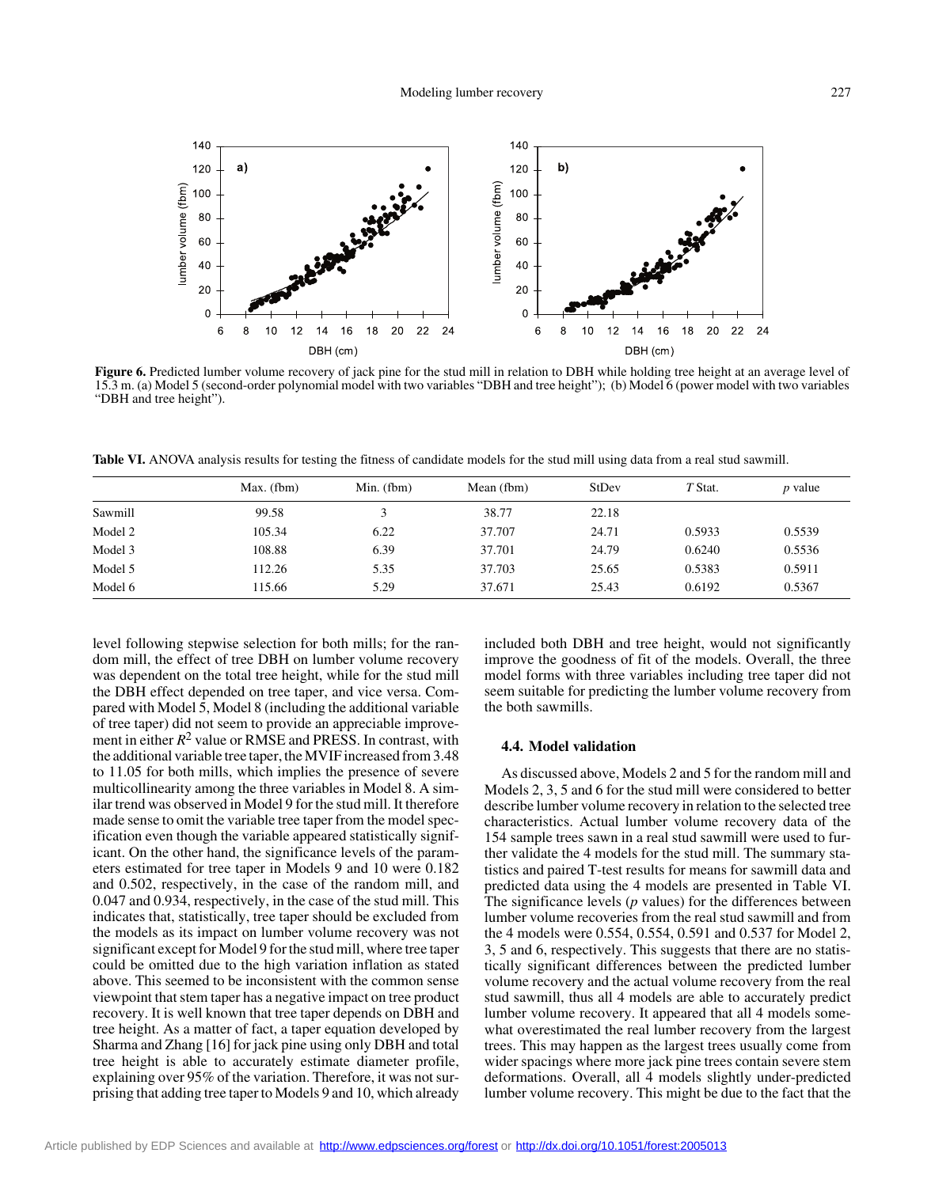

Figure 6. Predicted lumber volume recovery of jack pine for the stud mill in relation to DBH while holding tree height at an average level of 15.3 m. (a) Model 5 (second-order polynomial model with two variables "DBH and tree height"); (b) Model 6 (power model with two variables "DBH and tree height").

**Table VI.** ANOVA analysis results for testing the fitness of candidate models for the stud mill using data from a real stud sawmill.

|         | Max. (fbm) | Min. $(fbm)$ | Mean (fbm) | StDev | T Stat. | <i>p</i> value |
|---------|------------|--------------|------------|-------|---------|----------------|
| Sawmill | 99.58      |              | 38.77      | 22.18 |         |                |
| Model 2 | 105.34     | 6.22         | 37.707     | 24.71 | 0.5933  | 0.5539         |
| Model 3 | 108.88     | 6.39         | 37.701     | 24.79 | 0.6240  | 0.5536         |
| Model 5 | 112.26     | 5.35         | 37.703     | 25.65 | 0.5383  | 0.5911         |
| Model 6 | 115.66     | 5.29         | 37.671     | 25.43 | 0.6192  | 0.5367         |

level following stepwise selection for both mills; for the random mill, the effect of tree DBH on lumber volume recovery was dependent on the total tree height, while for the stud mill the DBH effect depended on tree taper, and vice versa. Compared with Model 5, Model 8 (including the additional variable of tree taper) did not seem to provide an appreciable improvement in either  $R^2$  value or RMSE and PRESS. In contrast, with the additional variable tree taper, the MVIF increased from 3.48 to 11.05 for both mills, which implies the presence of severe multicollinearity among the three variables in Model 8. A similar trend was observed in Model 9 for the stud mill. It therefore made sense to omit the variable tree taper from the model specification even though the variable appeared statistically significant. On the other hand, the significance levels of the parameters estimated for tree taper in Models 9 and 10 were 0.182 and 0.502, respectively, in the case of the random mill, and 0.047 and 0.934, respectively, in the case of the stud mill. This indicates that, statistically, tree taper should be excluded from the models as its impact on lumber volume recovery was not significant except for Model 9 for the stud mill, where tree taper could be omitted due to the high variation inflation as stated above. This seemed to be inconsistent with the common sense viewpoint that stem taper has a negative impact on tree product recovery. It is well known that tree taper depends on DBH and tree height. As a matter of fact, a taper equation developed by Sharma and Zhang [16] for jack pine using only DBH and total tree height is able to accurately estimate diameter profile, explaining over 95% of the variation. Therefore, it was not surprising that adding tree taper to Models 9 and 10, which already included both DBH and tree height, would not significantly improve the goodness of fit of the models. Overall, the three model forms with three variables including tree taper did not seem suitable for predicting the lumber volume recovery from the both sawmills.

#### **4.4. Model validation**

As discussed above, Models 2 and 5 for the random mill and Models 2, 3, 5 and 6 for the stud mill were considered to better describe lumber volume recovery in relation to the selected tree characteristics. Actual lumber volume recovery data of the 154 sample trees sawn in a real stud sawmill were used to further validate the 4 models for the stud mill. The summary statistics and paired T-test results for means for sawmill data and predicted data using the 4 models are presented in Table VI. The significance levels (*p* values) for the differences between lumber volume recoveries from the real stud sawmill and from the 4 models were 0.554, 0.554, 0.591 and 0.537 for Model 2, 3, 5 and 6, respectively. This suggests that there are no statistically significant differences between the predicted lumber volume recovery and the actual volume recovery from the real stud sawmill, thus all 4 models are able to accurately predict lumber volume recovery. It appeared that all 4 models somewhat overestimated the real lumber recovery from the largest trees. This may happen as the largest trees usually come from wider spacings where more jack pine trees contain severe stem deformations. Overall, all 4 models slightly under-predicted lumber volume recovery. This might be due to the fact that the